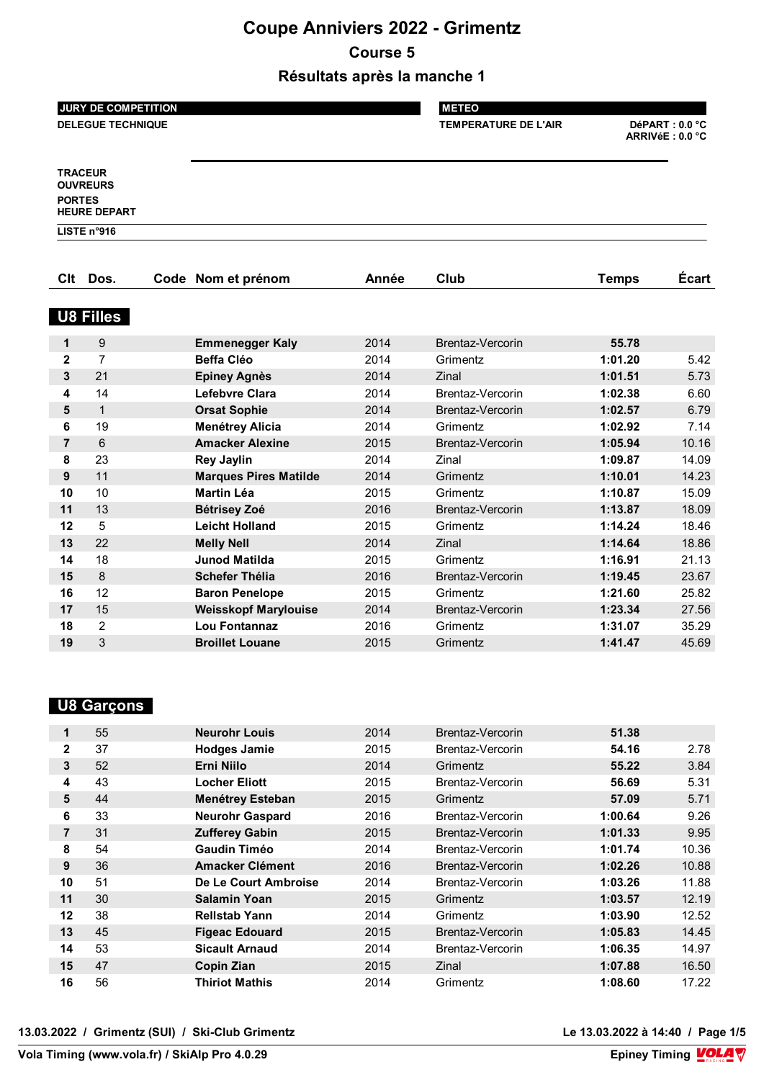# **Coupe Anniviers 2022 - Grimentz**

#### **Course 5**

**Résultats après la manche 1**

|                | <b>JURY DE COMPETITION</b>                               |                              | <b>METEO</b> |                             |                                    |              |
|----------------|----------------------------------------------------------|------------------------------|--------------|-----------------------------|------------------------------------|--------------|
|                | <b>DELEGUE TECHNIQUE</b>                                 |                              |              | <b>TEMPERATURE DE L'AIR</b> | DéPART : 0.0 °C<br>ARRIVéE: 0.0 °C |              |
|                |                                                          |                              |              |                             |                                    |              |
| <b>PORTES</b>  | <b>TRACEUR</b><br><b>OUVREURS</b><br><b>HEURE DEPART</b> |                              |              |                             |                                    |              |
|                | LISTE n°916                                              |                              |              |                             |                                    |              |
|                |                                                          |                              |              |                             |                                    |              |
| <b>Clt</b>     | Dos.                                                     | Code Nom et prénom           | Année        | Club                        | <b>Temps</b>                       | <b>Écart</b> |
|                |                                                          |                              |              |                             |                                    |              |
|                | <b>U8 Filles</b>                                         |                              |              |                             |                                    |              |
| $\mathbf{1}$   | 9                                                        | <b>Emmenegger Kaly</b>       | 2014         | <b>Brentaz-Vercorin</b>     | 55.78                              |              |
| $\overline{2}$ | $\overline{7}$                                           | <b>Beffa Cléo</b>            | 2014         | Grimentz                    | 1:01.20                            | 5.42         |
| $\mathbf{3}$   | 21                                                       | <b>Epiney Agnès</b>          | 2014         | Zinal                       | 1:01.51                            | 5.73         |
| 4              | 14                                                       | Lefebvre Clara               | 2014         | Brentaz-Vercorin            | 1:02.38                            | 6.60         |
| 5              | $\mathbf{1}$                                             | <b>Orsat Sophie</b>          | 2014         | Brentaz-Vercorin            | 1:02.57                            | 6.79         |
| 6              | 19                                                       | <b>Menétrey Alicia</b>       | 2014         | Grimentz                    | 1:02.92                            | 7.14         |
| $\overline{7}$ | 6                                                        | <b>Amacker Alexine</b>       | 2015         | Brentaz-Vercorin            | 1:05.94                            | 10.16        |
| 8              | 23                                                       | <b>Rey Jaylin</b>            | 2014         | Zinal                       | 1:09.87                            | 14.09        |
| 9              | 11                                                       | <b>Marques Pires Matilde</b> | 2014         | Grimentz                    | 1:10.01                            | 14.23        |
| 10             | 10                                                       | <b>Martin Léa</b>            | 2015         | Grimentz                    | 1:10.87                            | 15.09        |
| 11             | 13                                                       | <b>Bétrisey Zoé</b>          | 2016         | Brentaz-Vercorin            | 1:13.87                            | 18.09        |
| 12             | 5                                                        | <b>Leicht Holland</b>        | 2015         | Grimentz                    | 1:14.24                            | 18.46        |
| 13             | 22                                                       | <b>Melly Nell</b>            | 2014         | Zinal                       | 1:14.64                            | 18.86        |
| 14             | 18                                                       | <b>Junod Matilda</b>         | 2015         | Grimentz                    | 1:16.91                            | 21.13        |
| 15             | 8                                                        | <b>Schefer Thélia</b>        | 2016         | Brentaz-Vercorin            | 1:19.45                            | 23.67        |
| 16             | 12                                                       | <b>Baron Penelope</b>        | 2015         | Grimentz                    | 1:21.60                            | 25.82        |

|  | . Garcons | ю |
|--|-----------|---|
|--|-----------|---|

| 1              | 55 | <b>Neurohr Louis</b>    | 2014 | Brentaz-Vercorin | 51.38   |       |
|----------------|----|-------------------------|------|------------------|---------|-------|
| 2              | 37 | <b>Hodges Jamie</b>     | 2015 | Brentaz-Vercorin | 54.16   | 2.78  |
| 3              | 52 | Erni Niilo              | 2014 | Grimentz         | 55.22   | 3.84  |
| 4              | 43 | <b>Locher Eliott</b>    | 2015 | Brentaz-Vercorin | 56.69   | 5.31  |
| 5              | 44 | <b>Menétrey Esteban</b> | 2015 | Grimentz         | 57.09   | 5.71  |
| 6              | 33 | <b>Neurohr Gaspard</b>  | 2016 | Brentaz-Vercorin | 1:00.64 | 9.26  |
| $\overline{7}$ | 31 | <b>Zufferey Gabin</b>   | 2015 | Brentaz-Vercorin | 1:01.33 | 9.95  |
| 8              | 54 | <b>Gaudin Timéo</b>     | 2014 | Brentaz-Vercorin | 1:01.74 | 10.36 |
| 9              | 36 | <b>Amacker Clément</b>  | 2016 | Brentaz-Vercorin | 1:02.26 | 10.88 |
| 10             | 51 | De Le Court Ambroise    | 2014 | Brentaz-Vercorin | 1:03.26 | 11.88 |
| 11             | 30 | <b>Salamin Yoan</b>     | 2015 | Grimentz         | 1:03.57 | 12.19 |
| 12             | 38 | <b>Rellstab Yann</b>    | 2014 | Grimentz         | 1:03.90 | 12.52 |
| 13             | 45 | <b>Figeac Edouard</b>   | 2015 | Brentaz-Vercorin | 1:05.83 | 14.45 |
| 14             | 53 | <b>Sicault Arnaud</b>   | 2014 | Brentaz-Vercorin | 1:06.35 | 14.97 |
| 15             | 47 | Copin Zian              | 2015 | Zinal            | 1:07.88 | 16.50 |
| 16             | 56 | <b>Thiriot Mathis</b>   | 2014 | Grimentz         | 1:08.60 | 17.22 |
|                |    |                         |      |                  |         |       |

 15 **Weisskopf Marylouise** 2014 Brentaz-Vercorin **1:23.34** 27.56 2 **Lou Fontannaz** 2016 Grimentz **1:31.07** 35.29 3 **Broillet Louane** 2015 Grimentz **1:41.47** 45.69

**13.03.2022 / Grimentz (SUI) / Ski-Club Grimentz Le 13.03.2022 à 14:40 / Page 1/5**

Le 13.03.2022 à 14:40 / Page 1/5<br>Epiney Timing **VOLA**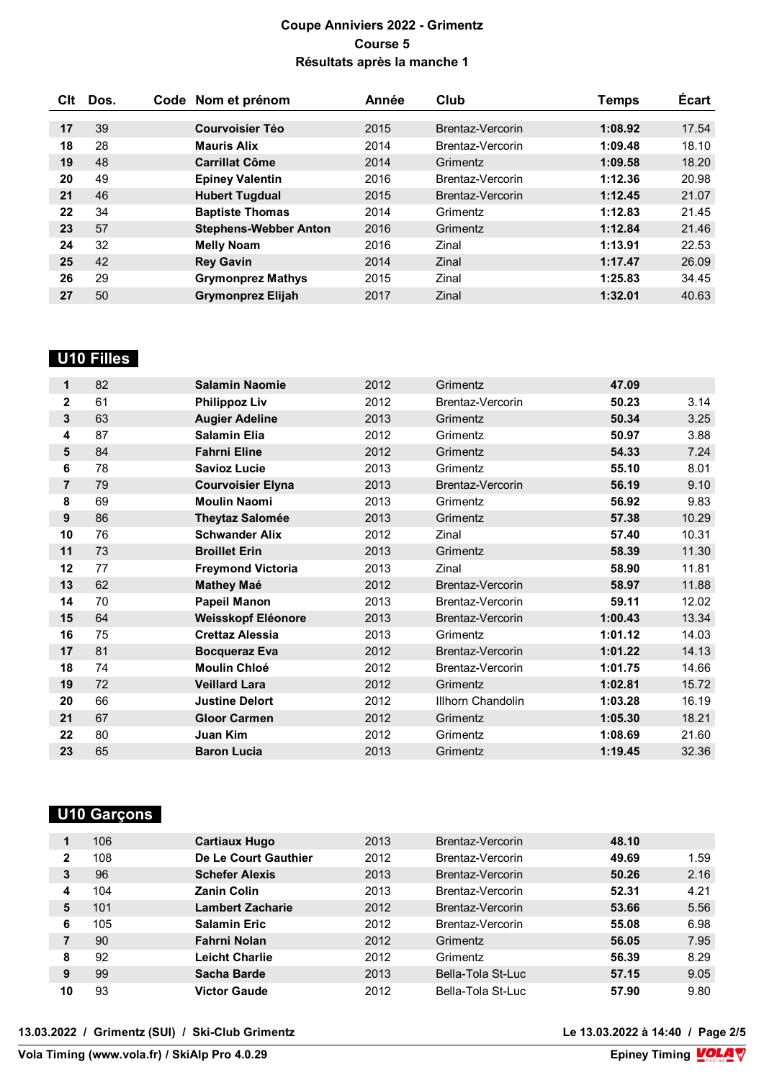| Clt | Dos. | Code Nom et prénom           | Année | Club             | Temps   | Écart |
|-----|------|------------------------------|-------|------------------|---------|-------|
|     |      |                              |       |                  |         |       |
| 17  | 39   | <b>Courvoisier Téo</b>       | 2015  | Brentaz-Vercorin | 1:08.92 | 17.54 |
| 18  | 28   | <b>Mauris Alix</b>           | 2014  | Brentaz-Vercorin | 1:09.48 | 18.10 |
| 19  | 48   | <b>Carrillat Côme</b>        | 2014  | Grimentz         | 1:09.58 | 18.20 |
| 20  | 49   | <b>Epiney Valentin</b>       | 2016  | Brentaz-Vercorin | 1:12.36 | 20.98 |
| 21  | 46   | <b>Hubert Tugdual</b>        | 2015  | Brentaz-Vercorin | 1:12.45 | 21.07 |
| 22  | 34   | <b>Baptiste Thomas</b>       | 2014  | Grimentz         | 1:12.83 | 21.45 |
| 23  | 57   | <b>Stephens-Webber Anton</b> | 2016  | Grimentz         | 1:12.84 | 21.46 |
| 24  | 32   | <b>Melly Noam</b>            | 2016  | Zinal            | 1:13.91 | 22.53 |
| 25  | 42   | <b>Rey Gavin</b>             | 2014  | Zinal            | 1:17.47 | 26.09 |
| 26  | 29   | <b>Grymonprez Mathys</b>     | 2015  | Zinal            | 1:25.83 | 34.45 |
| 27  | 50   | <b>Grymonprez Elijah</b>     | 2017  | Zinal            | 1:32.01 | 40.63 |

### **U10 Filles**

| 1              | 82 | <b>Salamin Naomie</b>    | 2012 | Grimentz                | 47.09   |       |
|----------------|----|--------------------------|------|-------------------------|---------|-------|
| 2              | 61 | <b>Philippoz Liv</b>     | 2012 | Brentaz-Vercorin        | 50.23   | 3.14  |
| 3              | 63 | <b>Augier Adeline</b>    | 2013 | Grimentz                | 50.34   | 3.25  |
| 4              | 87 | <b>Salamin Elia</b>      | 2012 | Grimentz                | 50.97   | 3.88  |
| 5              | 84 | <b>Fahrni Eline</b>      | 2012 | Grimentz                | 54.33   | 7.24  |
| 6              | 78 | <b>Savioz Lucie</b>      | 2013 | Grimentz                | 55.10   | 8.01  |
| $\overline{7}$ | 79 | <b>Courvoisier Elyna</b> | 2013 | Brentaz-Vercorin        | 56.19   | 9.10  |
| 8              | 69 | <b>Moulin Naomi</b>      | 2013 | Grimentz                | 56.92   | 9.83  |
| 9              | 86 | <b>Theytaz Salomée</b>   | 2013 | Grimentz                | 57.38   | 10.29 |
| 10             | 76 | <b>Schwander Alix</b>    | 2012 | Zinal                   | 57.40   | 10.31 |
| 11             | 73 | <b>Broillet Erin</b>     | 2013 | Grimentz                | 58.39   | 11.30 |
| 12             | 77 | <b>Freymond Victoria</b> | 2013 | Zinal                   | 58.90   | 11.81 |
| 13             | 62 | <b>Mathey Maé</b>        | 2012 | <b>Brentaz-Vercorin</b> | 58.97   | 11.88 |
| 14             | 70 | <b>Papeil Manon</b>      | 2013 | Brentaz-Vercorin        | 59.11   | 12.02 |
| 15             | 64 | Weisskopf Eléonore       | 2013 | Brentaz-Vercorin        | 1:00.43 | 13.34 |
| 16             | 75 | <b>Crettaz Alessia</b>   | 2013 | Grimentz                | 1:01.12 | 14.03 |
| 17             | 81 | <b>Bocqueraz Eva</b>     | 2012 | Brentaz-Vercorin        | 1:01.22 | 14.13 |
| 18             | 74 | <b>Moulin Chloé</b>      | 2012 | Brentaz-Vercorin        | 1:01.75 | 14.66 |
| 19             | 72 | <b>Veillard Lara</b>     | 2012 | Grimentz                | 1:02.81 | 15.72 |
| 20             | 66 | <b>Justine Delort</b>    | 2012 | Illhorn Chandolin       | 1:03.28 | 16.19 |
| 21             | 67 | <b>Gloor Carmen</b>      | 2012 | Grimentz                | 1:05.30 | 18.21 |
| 22             | 80 | Juan Kim                 | 2012 | Grimentz                | 1:08.69 | 21.60 |
| 23             | 65 | <b>Baron Lucia</b>       | 2013 | Grimentz                | 1:19.45 | 32.36 |

# **U10 Garçons**

|    | 106 | <b>Cartiaux Hugo</b>    | 2013 | Brentaz-Vercorin  | 48.10 |      |
|----|-----|-------------------------|------|-------------------|-------|------|
| 2  | 108 | De Le Court Gauthier    | 2012 | Brentaz-Vercorin  | 49.69 | 1.59 |
| 3  | 96  | <b>Schefer Alexis</b>   | 2013 | Brentaz-Vercorin  | 50.26 | 2.16 |
| 4  | 104 | <b>Zanin Colin</b>      | 2013 | Brentaz-Vercorin  | 52.31 | 4.21 |
| 5  | 101 | <b>Lambert Zacharie</b> | 2012 | Brentaz-Vercorin  | 53.66 | 5.56 |
| 6  | 105 | <b>Salamin Eric</b>     | 2012 | Brentaz-Vercorin  | 55.08 | 6.98 |
|    | 90  | Fahrni Nolan            | 2012 | Grimentz          | 56.05 | 7.95 |
| 8  | 92  | <b>Leicht Charlie</b>   | 2012 | Grimentz          | 56.39 | 8.29 |
| 9  | 99  | Sacha Barde             | 2013 | Bella-Tola St-Luc | 57.15 | 9.05 |
| 10 | 93  | <b>Victor Gaude</b>     | 2012 | Bella-Tola St-Luc | 57.90 | 9.80 |

**13.03.2022 / Grimentz (SUI) / Ski-Club Grimentz Le 13.03.2022 à 14:40 / Page 2/5**

Le 13.03.2022 à 14:40 / Page 2/5<br>Epiney Timing  $\sqrt{Q_{\rm max}}$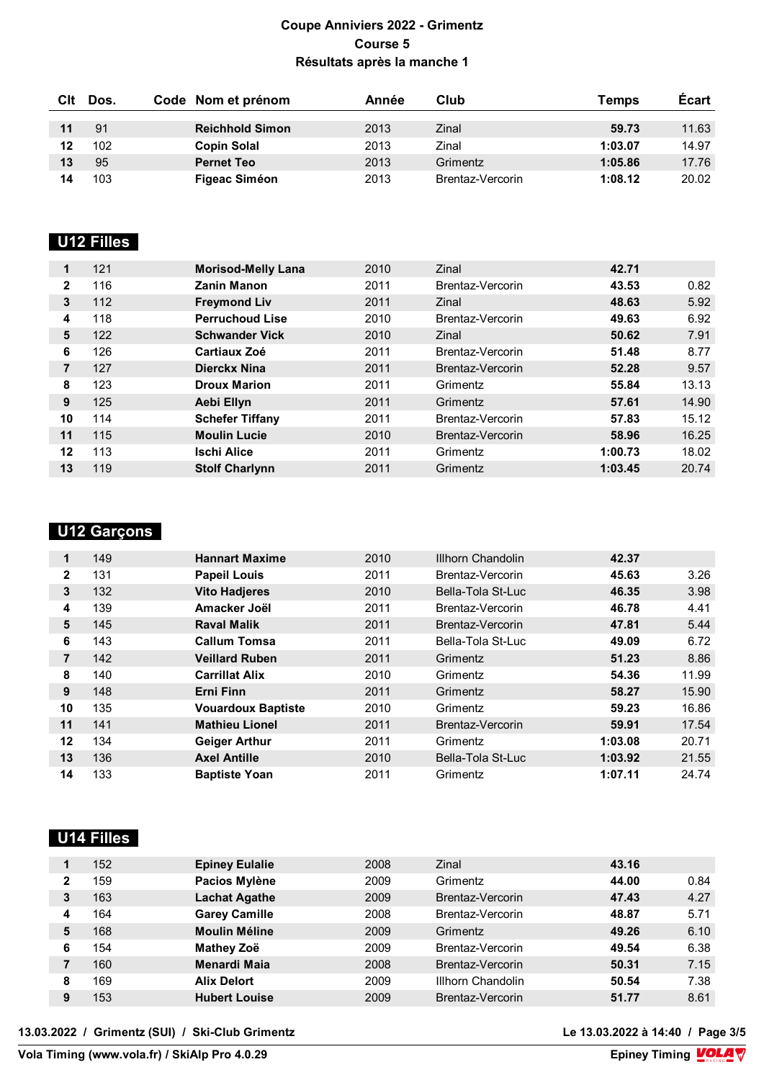| Clt | Dos. | Code Nom et prénom     | Année | Club             | Temps   | <b>Écart</b> |
|-----|------|------------------------|-------|------------------|---------|--------------|
|     |      |                        |       |                  |         |              |
| 11  | 91   | <b>Reichhold Simon</b> | 2013  | Zinal            | 59.73   | 11.63        |
| 12  | 102  | <b>Copin Solal</b>     | 2013  | Zinal            | 1:03.07 | 14.97        |
| 13  | 95   | <b>Pernet Teo</b>      | 2013  | Grimentz         | 1:05.86 | 17.76        |
| 14  | 103  | <b>Figeac Siméon</b>   | 2013  | Brentaz-Vercorin | 1:08.12 | 20.02        |

# **LISTE 18**

| 1            | 121 | <b>Morisod-Melly Lana</b> | 2010 | Zinal            | 42.71   |       |
|--------------|-----|---------------------------|------|------------------|---------|-------|
| $\mathbf{2}$ | 116 | <b>Zanin Manon</b>        | 2011 | Brentaz-Vercorin | 43.53   | 0.82  |
| 3            | 112 | <b>Freymond Liv</b>       | 2011 | Zinal            | 48.63   | 5.92  |
| 4            | 118 | <b>Perruchoud Lise</b>    | 2010 | Brentaz-Vercorin | 49.63   | 6.92  |
| 5            | 122 | <b>Schwander Vick</b>     | 2010 | Zinal            | 50.62   | 7.91  |
| 6            | 126 | <b>Cartiaux Zoé</b>       | 2011 | Brentaz-Vercorin | 51.48   | 8.77  |
|              | 127 | Dierckx Nina              | 2011 | Brentaz-Vercorin | 52.28   | 9.57  |
| 8            | 123 | <b>Droux Marion</b>       | 2011 | Grimentz         | 55.84   | 13.13 |
| 9            | 125 | Aebi Ellyn                | 2011 | Grimentz         | 57.61   | 14.90 |
| 10           | 114 | <b>Schefer Tiffany</b>    | 2011 | Brentaz-Vercorin | 57.83   | 15.12 |
| 11           | 115 | <b>Moulin Lucie</b>       | 2010 | Brentaz-Vercorin | 58.96   | 16.25 |
| 12           | 113 | <b>Ischi Alice</b>        | 2011 | Grimentz         | 1:00.73 | 18.02 |
| 13           | 119 | <b>Stolf Charlynn</b>     | 2011 | Grimentz         | 1:03.45 | 20.74 |

# **U12 Garçons**

| 1            | 149 | <b>Hannart Maxime</b>     | 2010 | Illhorn Chandolin | 42.37   |       |
|--------------|-----|---------------------------|------|-------------------|---------|-------|
| $\mathbf{2}$ | 131 | <b>Papeil Louis</b>       | 2011 | Brentaz-Vercorin  | 45.63   | 3.26  |
| 3            | 132 | <b>Vito Hadjeres</b>      | 2010 | Bella-Tola St-Luc | 46.35   | 3.98  |
| 4            | 139 | Amacker Joël              | 2011 | Brentaz-Vercorin  | 46.78   | 4.41  |
| 5            | 145 | <b>Raval Malik</b>        | 2011 | Brentaz-Vercorin  | 47.81   | 5.44  |
| 6            | 143 | <b>Callum Tomsa</b>       | 2011 | Bella-Tola St-Luc | 49.09   | 6.72  |
| 7            | 142 | <b>Veillard Ruben</b>     | 2011 | Grimentz          | 51.23   | 8.86  |
| 8            | 140 | <b>Carrillat Alix</b>     | 2010 | Grimentz          | 54.36   | 11.99 |
| 9            | 148 | Erni Finn                 | 2011 | Grimentz          | 58.27   | 15.90 |
| 10           | 135 | <b>Vouardoux Baptiste</b> | 2010 | Grimentz          | 59.23   | 16.86 |
| 11           | 141 | <b>Mathieu Lionel</b>     | 2011 | Brentaz-Vercorin  | 59.91   | 17.54 |
| 12           | 134 | <b>Geiger Arthur</b>      | 2011 | Grimentz          | 1:03.08 | 20.71 |
| 13           | 136 | <b>Axel Antille</b>       | 2010 | Bella-Tola St-Luc | 1:03.92 | 21.55 |
| 14           | 133 | <b>Baptiste Yoan</b>      | 2011 | Grimentz          | 1:07.11 | 24.74 |

# **U14 Filles**

|   | 152 | <b>Epiney Eulalie</b> | 2008 | Zinal             | 43.16 |      |
|---|-----|-----------------------|------|-------------------|-------|------|
| 2 | 159 | Pacios Mylène         | 2009 | Grimentz          | 44.00 | 0.84 |
| 3 | 163 | <b>Lachat Agathe</b>  | 2009 | Brentaz-Vercorin  | 47.43 | 4.27 |
| 4 | 164 | <b>Garey Camille</b>  | 2008 | Brentaz-Vercorin  | 48.87 | 5.71 |
| 5 | 168 | <b>Moulin Méline</b>  | 2009 | Grimentz          | 49.26 | 6.10 |
| 6 | 154 | Mathey Zoë            | 2009 | Brentaz-Vercorin  | 49.54 | 6.38 |
|   | 160 | Menardi Maia          | 2008 | Brentaz-Vercorin  | 50.31 | 7.15 |
| 8 | 169 | <b>Alix Delort</b>    | 2009 | Illhorn Chandolin | 50.54 | 7.38 |
| 9 | 153 | <b>Hubert Louise</b>  | 2009 | Brentaz-Vercorin  | 51.77 | 8.61 |

**13.03.2022 / Grimentz (SUI) / Ski-Club Grimentz Le 13.03.2022 à 14:40 / Page 3/5**

Le 13.03.2022 à 14:40 / Page 3/5<br>Epiney Timing **VOLA** 

**Vola Timing (www.vola.fr) / SkiAlp Pro 4.0.29**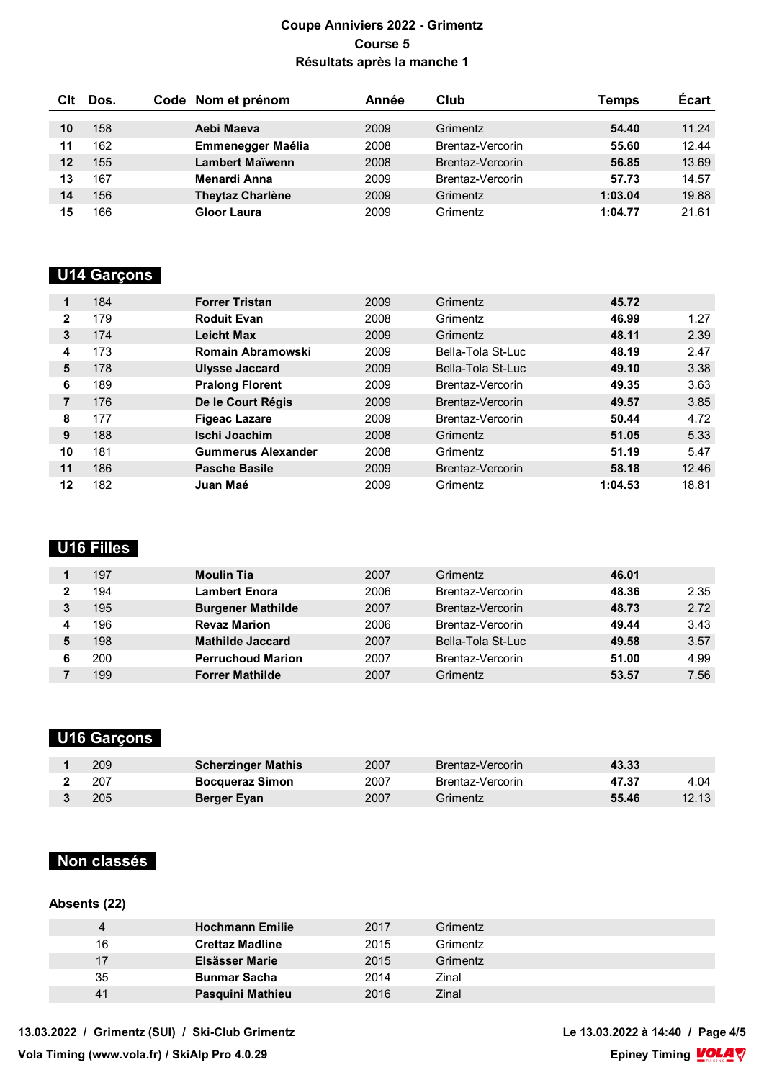| Clt | Dos. | Code Nom et prénom       | Année | Club             | Temps   | <b>Ecart</b> |
|-----|------|--------------------------|-------|------------------|---------|--------------|
|     |      |                          |       |                  |         |              |
| 10  | 158  | Aebi Maeva               | 2009  | Grimentz         | 54.40   | 11.24        |
| 11  | 162  | <b>Emmenegger Maélia</b> | 2008  | Brentaz-Vercorin | 55.60   | 12.44        |
| 12  | 155  | Lambert Maïwenn          | 2008  | Brentaz-Vercorin | 56.85   | 13.69        |
| 13  | 167  | Menardi Anna             | 2009  | Brentaz-Vercorin | 57.73   | 14.57        |
| 14  | 156  | <b>Theytaz Charlène</b>  | 2009  | Grimentz         | 1:03.04 | 19.88        |
| 15  | 166  | Gloor Laura              | 2009  | Grimentz         | 1:04.77 | 21.61        |

#### **U14 Garçons**

|    | 184 | <b>Forrer Tristan</b>     | 2009 | Grimentz          | 45.72   |       |
|----|-----|---------------------------|------|-------------------|---------|-------|
| 2  | 179 | <b>Roduit Evan</b>        | 2008 | Grimentz          | 46.99   | 1.27  |
| 3  | 174 | <b>Leicht Max</b>         | 2009 | Grimentz          | 48.11   | 2.39  |
| 4  | 173 | <b>Romain Abramowski</b>  | 2009 | Bella-Tola St-Luc | 48.19   | 2.47  |
| 5  | 178 | <b>Ulysse Jaccard</b>     | 2009 | Bella-Tola St-Luc | 49.10   | 3.38  |
| 6  | 189 | <b>Pralong Florent</b>    | 2009 | Brentaz-Vercorin  | 49.35   | 3.63  |
| 7  | 176 | De le Court Régis         | 2009 | Brentaz-Vercorin  | 49.57   | 3.85  |
| 8  | 177 | <b>Figeac Lazare</b>      | 2009 | Brentaz-Vercorin  | 50.44   | 4.72  |
| 9  | 188 | Ischi Joachim             | 2008 | Grimentz          | 51.05   | 5.33  |
| 10 | 181 | <b>Gummerus Alexander</b> | 2008 | Grimentz          | 51.19   | 5.47  |
| 11 | 186 | <b>Pasche Basile</b>      | 2009 | Brentaz-Vercorin  | 58.18   | 12.46 |
| 12 | 182 | Juan Maé                  | 2009 | Grimentz          | 1:04.53 | 18.81 |

### **U16 Filles**

|   | 197 | <b>Moulin Tia</b>        | 2007 | Grimentz          | 46.01 |      |
|---|-----|--------------------------|------|-------------------|-------|------|
|   | 194 | <b>Lambert Enora</b>     | 2006 | Brentaz-Vercorin  | 48.36 | 2.35 |
| 3 | 195 | <b>Burgener Mathilde</b> | 2007 | Brentaz-Vercorin  | 48.73 | 2.72 |
|   | 196 | <b>Revaz Marion</b>      | 2006 | Brentaz-Vercorin  | 49.44 | 3.43 |
|   | 198 | <b>Mathilde Jaccard</b>  | 2007 | Bella-Tola St-Luc | 49.58 | 3.57 |
| 6 | 200 | <b>Perruchoud Marion</b> | 2007 | Brentaz-Vercorin  | 51.00 | 4.99 |
|   | 199 | <b>Forrer Mathilde</b>   | 2007 | Grimentz          | 53.57 | 7.56 |

### **U16 Garçons**

| 209 | <b>Scherzinger Mathis</b> | 2007 | Brentaz-Vercorin | 43.33 |       |
|-----|---------------------------|------|------------------|-------|-------|
| 207 | <b>Bocqueraz Simon</b>    | 2007 | Brentaz-Vercorin | 47.37 | 4.04  |
| 205 | Berger Eyan               | 2007 | Grimentz         | 55.46 | 12.13 |

#### **Non classés**

#### **Absents (22)**

|    | <b>Hochmann Emilie</b> | 2017 | Grimentz |
|----|------------------------|------|----------|
| 16 | <b>Crettaz Madline</b> | 2015 | Grimentz |
| 17 | Elsässer Marie         | 2015 | Grimentz |
| 35 | <b>Bunmar Sacha</b>    | 2014 | Zinal    |
| 41 | Pasquini Mathieu       | 2016 | Zinal    |

**13.03.2022 / Grimentz (SUI) / Ski-Club Grimentz Le 13.03.2022 à 14:40 / Page 4/5**

Le 13.03.2022 à 14:40 / Page 4/5<br>Epiney Timing **VOLA** 

**Vola Timing (www.vola.fr) / SkiAlp Pro 4.0.29**